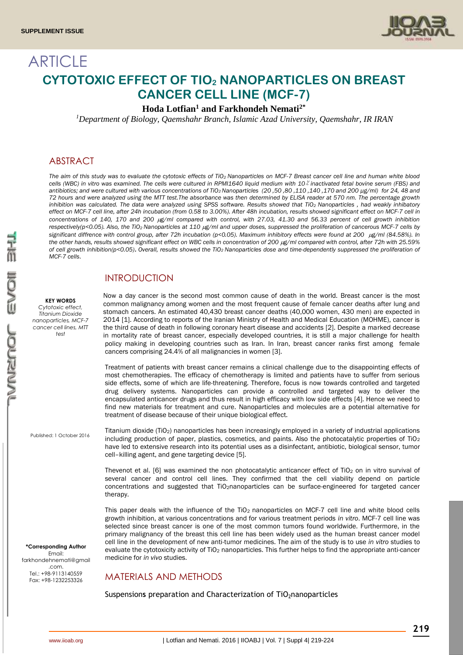

# **ARTICLE CYTOTOXIC EFFECT OF TIO<sup>2</sup> NANOPARTICLES ON BREAST CANCER CELL LINE (MCF-7)**

### **Hoda Lotfian<sup>1</sup> and Farkhondeh Nemati2\***

*Department of Biology, Qaemshahr Branch, Islamic Azad University, Qaemshahr, IR IRAN <sup>1</sup>*

### ABSTRACT

The aim of this study was to evaluate the cytotoxic effects of TiO<sub>2</sub> Nanoparticles on MCF-7 Breast cancer cell line and human white blood *cells (WBC) in vitro was examined. The cells were cultured in RPMI1640 liquid medium with 10***٪** *inactivated fetal bovine serum (FBS) and antibiotics; and were cultured with various concentrations of TiO2 Nanoparticles (20 ,50 ,80 ,110 ,140 ,170 and 200 µg/ml) for 24, 48 and 72 hours and were analyzed using the MTT test.The absorbance was then determined by ELISA reader at 570 nm. The percentage growth*  inhibition was calculated. The data were analyzed using SPSS software. Results showed that TiO<sub>2</sub> Nanoparticles, had weakly inhibatory *effect on MCF-7 cell line, after 24h incubation (from 0.58 to 3.00%). After 48h incubation, results showed significant effect on MCF-7 cell in concentrations of 140, 170 and 200 g/ml compared with control, with 27.03, 41.30 and 56.33 percent of cell growth inhibition respectively(p<0.05). Also, the TiO2 Nanoparticles at 110 g/ml and upper doses, suppressed the proliferation of cancerous MCF-7 cells by*  significant diffrence with control group, after 72h incubation (p<0.05). Maximum inhibitory effects were found at 200 µg/ml (84.58%). In the other hands, results showed significant effect on WBC cells in concentration of 200 µg/ml compared with control, after 72h with 25.59% *of cell growth inhibition(p<0.05)***.** *Overall, results showed the TiO2 Nanoparticles dose and time-dependently suppressed the proliferation of MCF-7 cells*.

cancers comprising 24.4% of all malignancies in women [3].

treatment of disease because of their unique biological effect.

### INTRODUCTION

**KEY WORDS** *Cytotoxic effect, Titanium Dioxide nanoparticles, MCF-7 cancer cell lines, MTT test*

Published: 1 October 2016

**\*Corresponding Author** Email: farkhondehnemati@gmail .com. Tel.: +98-9113140559 Fax: +98-1232253326

Titanium dioxide (TiO2) nanoparticles has been increasingly employed in a variety of industrial applications including production of paper, plastics, cosmetics, and paints. Also the photocatalytic properties of  $TiO<sub>2</sub>$ have led to extensive research into its potential uses as a disinfectant, antibiotic, biological sensor, tumor cell–killing agent, and gene targeting device [5].

Now a day cancer is the second most common cause of death in the world. Breast cancer is the most common malignancy among women and the most frequent cause of female cancer deaths after lung and stomach cancers. An estimated 40,430 breast cancer deaths (40,000 women, 430 men) are expected in 2014 [1]. According to reports of the Iranian Ministry of Health and Medical Education (MOHME), cancer is the third cause of death in following coronary heart disease and accidents [2]. Despite a marked decrease in mortality rate of breast cancer, especially developed countries, it is still a major challenge for health policy making in developing countries such as Iran. In Iran, breast cancer ranks first among female

Treatment of patients with breast cancer remains a clinical challenge due to the disappointing effects of most chemotherapies. The efficacy of chemotherapy is limited and patients have to suffer from serious side effects, some of which are life-threatening. Therefore, focus is now towards controlled and targeted drug delivery systems. Nanoparticles can provide a controlled and targeted way to deliver the encapsulated anticancer drugs and thus result in high efficacy with low side effects [4]. Hence we need to find new materials for treatment and cure. Nanoparticles and molecules are a potential alternative for

[Thevenot](http://www.pubfacts.com/author/Paul+Thevenot) et al. [6] was examined the non photocatalytic anticancer effect of  $TiO<sub>2</sub>$  on in vitro survival of several cancer and control cell lines. They confirmed that the cell viability depend on particle concentrations and suggested that TiO2nanoparticles can be surface-engineered for targeted cancer therapy.

This paper deals with the influence of the  $TiO<sub>2</sub>$  nanoparticles on MCF-7 cell line and white blood cells growth inhibition, at various concentrations and for various treatment periods *in vitro*. MCF-7 cell line was selected since breast cancer is one of the most common tumors found worldwide. Furthermore, in the primary malignancy of the breast this cell line has been widely used as the human breast cancer model cell line in the development of new anti-tumor medicines. The aim of the study is to use *in vitro* studies to evaluate the cytotoxicity activity of TiO<sub>2</sub> nanoparticles. This further helps to find the appropriate anti-cancer medicine for *in vivo* studies.

## MATERIALS AND METHODS

Suspensions preparation and Characterization of TiO<sub>2</sub>nanoparticles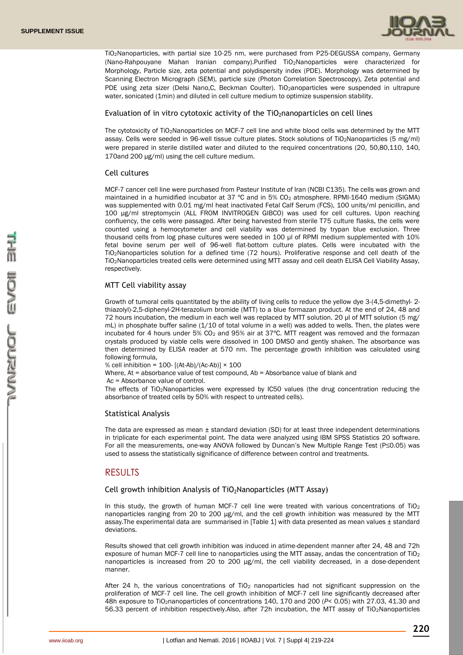

TiO2Nanoparticles, with partial size 10-25 nm, were purchased from P25-DEGUSSA company, Germany (Nano-Rahpouyane Mahan Iranian company).Purified TiO2Nanoparticles were characterized for Morphology, Particle size, zeta potential and polydispersity index (PDE). Morphology was determined by Scanning Electron Micrograph (SEM), particle size (Photon Correlation Spectroscopy), Zeta potential and PDE using zeta sizer (Delsi Nano, C, Beckman Coulter). TiO<sub>2</sub>anoparticles were suspended in ultrapure water, sonicated (1min) and diluted in cell culture medium to optimize suspension stability.

#### Evaluation of in vitro cytotoxic activity of the  $TiO<sub>2</sub>$ nanoparticles on cell lines

The cytotoxicity of TiO2Nanoparticles on MCF-7 cell line and white blood cells was determined by the MTT assay. Cells were seeded in 96-well tissue culture plates. Stock solutions of TiO2Nanoparticles (5 mg/ml) were prepared in sterile distilled water and diluted to the required concentrations (20, 50,80,110, 140, 170and 200 µg/ml) using the cell culture medium.

#### Cell cultures

MCF-7 cancer cell line were purchased from Pasteur Institute of Iran (NCBI C135). The cells was grown and maintained in a humidified incubator at 37 ºC and in 5% CO<sup>2</sup> atmosphere. RPMI-1640 medium (SIGMA) was supplemented with 0.01 mg/ml heat inactivated Fetal Calf Serum (FCS), 100 units/ml penicillin, and 100 μg/ml streptomycin (ALL FROM INVITROGEN GIBCO) was used for cell cultures. Upon reaching confluency, the cells were passaged. After being harvested from sterile T75 culture flasks, the cells were counted using a hemocytometer and cell viability was determined by trypan blue exclusion. Three thousand cells from log phase cultures were seeded in 100 μl of RPMI medium supplemented with 10% fetal bovine serum per well of 96-well flat-bottom culture plates. Cells were incubated with the TiO2Nanoparticles solution for a defined time (72 hours). Proliferative response and cell death of the TiO2Nanoparticles treated cells were determined using MTT assay and cell death ELISA Cell Viability Assay, respectively.

### MTT Cell viability assay

Growth of tumoral cells quantitated by the ability of living cells to reduce the yellow dye 3-(4,5-dimethyl- 2 thiazolyl)-2,5-diphenyl-2H-terazolium bromide (MTT) to a blue formazan product. At the end of 24, 48 and 72 hours incubation, the medium in each well was replaced by MTT solution. 20 μl of MTT solution (5 mg/ mL) in phosphate buffer saline (1/10 of total volume in a well) was added to wells. Then, the plates were incubated for 4 hours under 5%  $CO<sub>2</sub>$  and 95% air at 37°C. MTT reagent was removed and the formazan crystals produced by viable cells were dissolved in 100 DMSO and gently shaken. The absorbance was then determined by ELISA reader at 570 nm. The percentage growth inhibition was calculated using following formula,

% cell inhibition =  $100 - [(At-Ab)/(Ac-Ab)] \times 100$ 

Where, At = absorbance value of test compound, Ab = Absorbance value of blank and

Ac = Absorbance value of control.

The effects of TiO2Nanoparticles were expressed by IC50 values (the drug concentration reducing the absorbance of treated cells by 50% with respect to untreated cells).

#### Statistical Analysis

The data are expressed as mean  $\pm$  standard deviation (SD) for at least three independent determinations in triplicate for each experimental point. The data were analyzed using IBM SPSS Statistics 20 software. For all the measurements, one-way ANOVA followed by Duncan's New Multiple Range Test (P≤0.05) was used to assess the statistically significance of difference between control and treatments.

### RESULTS

#### Cell growth inhibition Analysis of TiO<sub>2</sub>Nanoparticles (MTT Assay)

In this study, the growth of human MCF-7 cell line were treated with various concentrations of  $TiO<sub>2</sub>$ nanoparticles ranging from 20 to 200 μg/ml, and the cell growth inhibition was measured by the MTT assay.The experimental data are summarised in [Table 1] with data presented as mean values ± standard deviations.

Results showed that cell growth inhibition was induced in atime-dependent manner after 24, 48 and 72h exposure of human MCF-7 cell line to nanoparticles using the MTT assay, andas the concentration of TiO<sub>2</sub> nanoparticles is increased from 20 to 200 μg/ml, the cell viability decreased, in a dose-dependent manner.

After 24 h, the various concentrations of  $TiO<sub>2</sub>$  nanoparticles had not significant suppression on the proliferation of MCF-7 cell line. The cell growth inhibition of MCF-7 cell line significantly decreased after 48h exposure to TiO2nanoparticles of concentrations 140, 170 and 200 (*P*< 0.05) with 27.03, 41.30 and 56.33 percent of inhibition respectively.Also, after 72h incubation, the MTT assay of TiO<sub>2</sub>Nanoparticles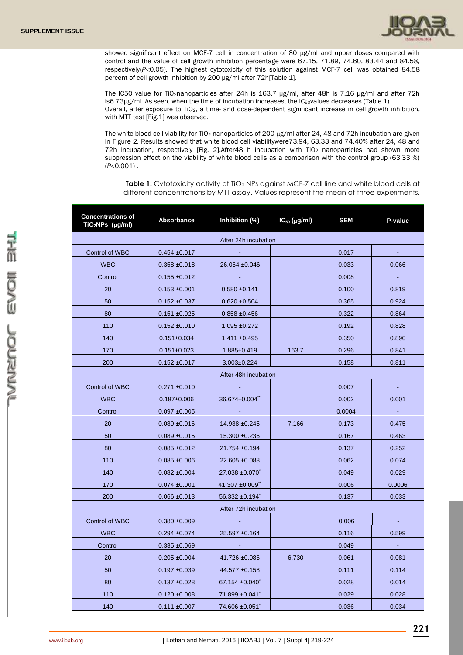

showed significant effect on MCF-7 cell in concentration of 80 µg/ml and upper doses compared with control and the value of cell growth inhibition percentage were 67.15, 71.89, 74.60, 83.44 and 84.58, respectively(P<0.05). The highest cytotoxicity of this solution against MCF-7 cell was obtained 84.58 percent of cell growth inhibition by 200 μg/ml after 72h[Table 1].

The IC50 value for TiO2nanoparticles after 24h is 163.7 μg/ml, after 48h is 7.16 μg/ml and after 72h is6.73μg/ml. As seen, when the time of incubation increases, the IC<sub>50</sub>values decreases (Table 1). Overall, after exposure to TiO2, a time- and dose-dependent significant increase in cell growth inhibition, with MTT test [Fig.1] was observed.

The white blood cell viability for TiO<sub>2</sub> nanoparticles of 200  $\mu$ g/ml after 24, 48 and 72h incubation are given in Figure 2. Results showed that white blood cell viabilitywere73.94, 63.33 and 74.40% after 24, 48 and 72h incubation, respectively [Fig. 2].After48 h incubation with TiO<sub>2</sub> nanoparticles had shown more suppression effect on the viability of white blood cells as a comparison with the control group (63.33 %)  $(P<0.001)$ .

**Table 1:** Cytotoxicity activity of TiO<sub>2</sub> NPs against MCF-7 cell line and white blood cells at different concentrations by MTT assay. Values represent the mean of three experiments.

| <b>Concentrations of</b><br>$TiO2NPs$ ( $\mu$ g/ml) | <b>Absorbance</b> | Inhibition (%)                   | $IC_{50}$ ( $\mu$ g/ml) | <b>SEM</b> | P-value        |  |  |  |  |  |
|-----------------------------------------------------|-------------------|----------------------------------|-------------------------|------------|----------------|--|--|--|--|--|
| After 24h incubation                                |                   |                                  |                         |            |                |  |  |  |  |  |
| Control of WBC                                      | $0.454 \pm 0.017$ | $\omega$                         |                         | 0.017      |                |  |  |  |  |  |
| <b>WBC</b>                                          | $0.358 + 0.018$   | 26.064 ±0.046                    |                         | 0.033      | 0.066          |  |  |  |  |  |
| Control                                             | $0.155 \pm 0.012$ |                                  |                         | 0.008      | $\omega$       |  |  |  |  |  |
| 20                                                  | $0.153 + 0.001$   | $0.580 + 0.141$                  |                         | 0.100      | 0.819          |  |  |  |  |  |
| 50                                                  | $0.152 + 0.037$   | $0.620 \pm 0.504$                |                         | 0.365      | 0.924          |  |  |  |  |  |
| 80                                                  | $0.151 + 0.025$   | $0.858 + 0.456$                  |                         | 0.322      | 0.864          |  |  |  |  |  |
| 110                                                 | $0.152 \pm 0.010$ | $1.095 + 0.272$                  |                         | 0.192      | 0.828          |  |  |  |  |  |
| 140                                                 | $0.151 \pm 0.034$ | $1.411 \pm 0.495$                |                         | 0.350      | 0.890          |  |  |  |  |  |
| 170                                                 | $0.151 \pm 0.023$ | 1.885±0.419                      | 163.7                   | 0.296      | 0.841          |  |  |  |  |  |
| 200                                                 | $0.152 \pm 0.017$ | $3.003 \pm 0.224$                |                         | 0.158      | 0.811          |  |  |  |  |  |
| After 48h incubation                                |                   |                                  |                         |            |                |  |  |  |  |  |
| Control of WBC                                      | $0.271 \pm 0.010$ |                                  |                         | 0.007      |                |  |  |  |  |  |
| <b>WBC</b>                                          | $0.187 \pm 0.006$ | 36.674±0.004 <sup>**</sup>       |                         | 0.002      | 0.001          |  |  |  |  |  |
| Control                                             | $0.097 + 0.005$   | $\sim 100$                       |                         | 0.0004     | $\sim 10^{-1}$ |  |  |  |  |  |
| 20                                                  | $0.089 + 0.016$   | 14.938 ±0.245                    | 7.166                   | 0.173      | 0.475          |  |  |  |  |  |
| 50                                                  | $0.089 + 0.015$   | 15.300 ±0.236                    |                         | 0.167      | 0.463          |  |  |  |  |  |
| 80                                                  | $0.085 + 0.012$   | 21.754 ±0.194                    |                         | 0.137      | 0.252          |  |  |  |  |  |
| 110                                                 | $0.085 \pm 0.006$ | 22.605 ±0.088                    |                         | 0.062      | 0.074          |  |  |  |  |  |
| 140                                                 | $0.082 \pm 0.004$ | 27.038 ±0.070 <sup>*</sup>       |                         | 0.049      | 0.029          |  |  |  |  |  |
| 170                                                 | $0.074 \pm 0.001$ | 41.307 $\pm 0.009$ <sup>**</sup> |                         | 0.006      | 0.0006         |  |  |  |  |  |
| 200                                                 | $0.066 \pm 0.013$ | 56.332 ±0.194 <sup>*</sup>       |                         | 0.137      | 0.033          |  |  |  |  |  |
| After 72h incubation                                |                   |                                  |                         |            |                |  |  |  |  |  |
| Control of WBC                                      | $0.380 + 0.009$   | $\sim$                           |                         | 0.006      |                |  |  |  |  |  |
| <b>WBC</b>                                          | $0.294 \pm 0.074$ | 25.597 ±0.164                    |                         | 0.116      | 0.599          |  |  |  |  |  |
| Control                                             | $0.335 + 0.069$   |                                  |                         | 0.049      | $\omega$       |  |  |  |  |  |
| 20                                                  | $0.205 \pm 0.004$ | 41.726 ±0.086                    | 6.730                   | 0.061      | 0.081          |  |  |  |  |  |
| 50                                                  | $0.197 + 0.039$   | 44.577 ±0.158                    |                         | 0.111      | 0.114          |  |  |  |  |  |
| 80                                                  | $0.137 + 0.028$   | $67.154 \pm 0.040$               |                         | 0.028      | 0.014          |  |  |  |  |  |
| 110                                                 | $0.120 \pm 0.008$ | 71.899 ±0.041 <sup>*</sup>       |                         | 0.029      | 0.028          |  |  |  |  |  |
| 140                                                 | $0.111 \pm 0.007$ | 74.606 ±0.051 <sup>*</sup>       |                         | 0.036      | 0.034          |  |  |  |  |  |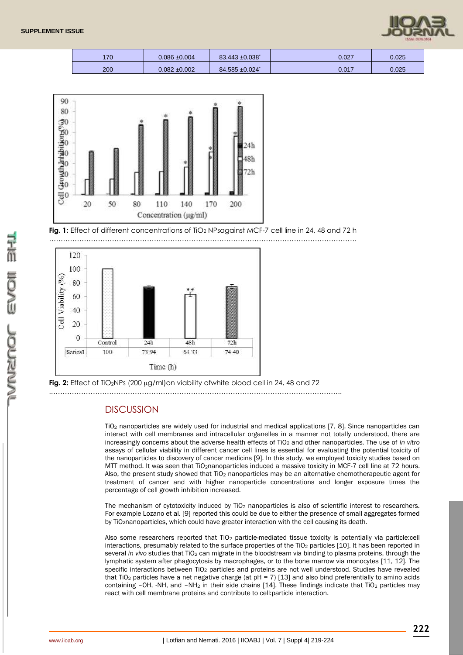

| 170 | $0.086 + 0.004$ | $83.443 \pm 0.038$ <sup>*</sup> | 0.027 | 0.025 |
|-----|-----------------|---------------------------------|-------|-------|
| 200 | $0.082 + 0.002$ | 84.585 ±0.024 <sup>*</sup>      | 0.017 | 0.025 |



**Fig. 1:** Effect of different concentrations of TiO<sub>2</sub> NPsagainst MCF-7 cell line in 24, 48 and 72 h



**Fig. 2:** Effect of TiO<sub>2</sub>NPs (200 µg/ml)on viability ofwhite blood cell in 24, 48 and 72

.……………………………………………………………………………………………………………..

### **DISCUSSION**

TiO<sup>2</sup> nanoparticles are widely used for industrial and medical applications [7, 8]. Since nanoparticles can interact with cell membranes and intracellular organelles in a manner not totally understood, there are increasingly concerns about the adverse health effects of TiO<sub>2</sub> and other nanoparticles. The use of *in vitro* assays of cellular viability in different cancer cell lines is essential for evaluating the potential toxicity of the nanoparticles to discovery of cancer medicins [9]. In this study, we employed toxicity studies based on MTT method. It was seen that TiO<sub>2</sub>nanoparticles induced a massive toxicity in MCF-7 cell line at 72 hours. Also, the present study showed that TiO<sub>2</sub> nanoparticles may be an alternative chemotherapeutic agent for treatment of cancer and with higher nanoparticle concentrations and longer exposure times the percentage of cell growth inhibition increased.

The mechanism of cytotoxicity induced by  $TiO<sub>2</sub>$  nanoparticles is also of scientific interest to researchers. For example Lozano et al. [9] reported this could be due to either the presence of small aggregates formed by TiO2nanoparticles, which could have greater interaction with the cell causing its death.

Also some researchers reported that  $TiO<sub>2</sub>$  particle-mediated tissue toxicity is potentially via particle:cell interactions, presumably related to the surface properties of the TiO<sub>2</sub> particles [10]. It has been reported in several *in vivo* studies that TiO<sub>2</sub> can migrate in the bloodstream via binding to plasma proteins, through the lymphatic system after phagocytosis by macrophages, or to the bone marrow via monocytes [11, 12]. The specific interactions between TiO<sub>2</sub> particles and proteins are not well understood. Studies have revealed that TiO<sub>2</sub> particles have a net negative charge (at  $pH = 7$ ) [13] and also bind preferentially to amino acids containing -OH, -NH, and -NH<sub>2</sub> in their side chains [14]. These findings indicate that TiO<sub>2</sub> particles may react with cell membrane proteins and contribute to cell:particle interaction.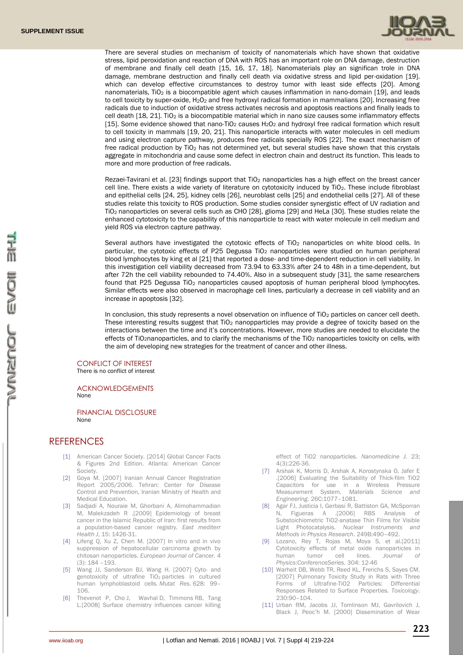

There are several studies on mechanism of toxicity of nanomaterials which have shown that oxidative stress, lipid peroxidation and reaction of DNA with ROS has an important role on DNA damage, destruction of membrane and finally cell death [15, 16, 17, 18]. Nanomaterials play an significan trole in DNA damage, membrane destruction and finally cell death via oxidative stress and lipid per-oxidation [19]. which can develop effective circumstances to destroy tumor with least side effects [20]. Among nanomaterials, TiO<sub>2</sub> is a biocompatible agent which causes inflammation in nano-domain [19], and leads to cell toxicity by super-oxide, H<sub>2</sub>O<sub>2</sub> and free hydroxyl radical formation in mammalians [20]. Increasing free radicals due to induction of oxidative stress activates necrosis and apoptosis reactions and finally leads to cell death [18, 21]. TiO<sub>2</sub> is a biocompatible material which in nano size causes some inflammatory effects [15]. Some evidence showed that nano-TiO<sub>2</sub> causes H<sub>2</sub>O<sub>2</sub> and hydroxyl free radical formation which result to cell toxicity in mammals [19, 20, 21]. This nanoparticle interacts with water molecules in cell medium and using electron capture pathway, produces free radicals specially ROS [22]. The exact mechanism of free radical production by  $TiO<sub>2</sub>$  has not determined yet, but several studies have shown that this crystals aggregate in mitochondria and cause some defect in electron chain and destruct its function. This leads to more and more production of free radicals.

Rezaei-Tavirani et al. [23] findings support that TiO<sub>2</sub> nanoparticles has a high effect on the breast cancer cell line. There exists a wide variety of literature on cytotoxicity induced by TiO2. These include fibroblast and epithelial cells [24, 25], kidney cells [26], neuroblast cells [25] and endothelial cells [27]. All of these studies relate this toxicity to ROS production. Some studies consider synergistic effect of UV radiation and TiO2 nanoparticles on several cells such as CHO [28], glioma [29] and HeLa [30]. These studies relate the enhanced cytotoxicity to the capability of this nanoparticle to react with water molecule in cell medium and yield ROS via electron capture pathway.

Several authors have investigated the cytotoxic effects of TiO<sub>2</sub> nanoparticles on white blood cells. In particular, the cytotoxic effects of P25 Degussa TiO<sub>2</sub> nanoparticles were studied on human peripheral blood lymphocytes by king et al [21] that reported a dose- and time-dependent reduction in cell viability. In this investigation cell viability decreased from 73.94 to 63.33% after 24 to 48h in a time-dependent, but after 72h the cell viability rebounded to 74.40%. Also in a subsequent study [31], the same researchers found that P25 Degussa TiO<sub>2</sub> nanoparticles caused apoptosis of human peripheral blood lymphocytes. Similar effects were also observed in macrophage cell lines, particularly a decrease in cell viability and an increase in apoptosis [32].

In conclusion, this study represents a novel observation on influence of TiO<sub>2</sub> particles on cancer cell deeth. These interesting results suggest that  $TiO<sub>2</sub>$  nanopparticles may provide a degree of toxicity based on the interactions between the time and it's concentrations. However, more studies are needed to elucidate the effects of TiO<sub>2</sub>nanoparticles, and to clarify the mechanisms of the TiO<sub>2</sub> nanoparticles toxicity on cells, with the aim of developing new strategies for the treatment of cancer and other illness.

### CONFLICT OF INTEREST

There is no conflict of interest

#### ACKNOWLEDGEMENTS None

FINANCIAL DISCLOSURE None

### **REFERENCES**

- [1] American Cancer Society. [2014] Global Cancer Facts & Figures 2nd Edition. Atlanta: American Cancer Society.
- [2] Goya M. [2007] Iranian Annual Cancer Registration Report 2005/2006. Tehran: Center for Disease Control and Prevention, Iranian Ministry of Health and Medical Education.
- [3] Sadjadi A, Nouraie M, Ghorbani A, Alimohammadian M, Malekzadeh R .[2009] Epidemiology of breast cancer in the Islamic Republic of Iran: first results from a population-based cancer registry*. East mediterr Health J*, 15: 1426-31.
- [4] Lifeng Q, Xu Z, Chen M. [2007] In vitro and in vivo suppression of hepatocellular carcinoma growth by chitosan nanoparticles. *European Journal of Cancer.* 4 (3): 184 –193.
- [5] Wang JJ, Sanderson BJ, Wang H. [2007] Cyto- and genotoxicity of ultrafine TiO<sup>2</sup> particles in cultured human lymphoblastoid cells*. Mutat Res*. 628: 99– 106.
- [6] [Thevenot](http://www.pubfacts.com/author/Paul+Thevenot) P, [Cho](http://www.pubfacts.com/author/Jai+Cho) J, [Wavhal](http://www.pubfacts.com/author/Dattatray+Wavhal) D, [Timmons](http://www.pubfacts.com/author/Richard+B+Timmons) RB, [Tang](http://www.pubfacts.com/author/Liping+Tang) L.[2008] Surface chemistry influences cancer killing

effect of TiO2 nanoparticles. *Nanomedicine J.* 23; 4(3):226-36.

- [7] Arshak K, Morris D, Arshak A, Korostynska O, Jafer E .[2006] Evaluating the Suitability of Thick-film TiO2 Capacitors for use in a Wireless Pressure Measurement System. *Materials Science and Engineering*. 26C:1077–1081.
- [8] Agar FJ, Justicia I, Gerbasi R, Battiston GA, McSporran N, Figueras A .[2006] RBS Analysis of Substoichiometric TiO2-anatase Thin Films for Visible Light Photocatalysis. *Nuclear Instruments and Methods in Physics Research*. 249B:490–492.
- [9] Lozano, Rey T, Rojas M, Moya S, et al. [2011] Cytotoxicity effects of metal oxide nanoparticles in human tumor cell lines. *Journal of Physics:ConferenceSeries.* 304: 12-46
- [10] Warheit DB, Webb TR, Reed KL, Frerichs S, Saves CM. [2007] Pulmonary Toxicity Study in Rats with Three Forms of Ultrafine-TiO2 Particles: Differential Responses Related to Surface Properties. *Toxicology*. 230:90–104.
- [11] Urban RM, Jacobs JJ, Tomlinson MJ, Gavrilovich J, Black J, Peoc'h M. [2000] Dissemination of Wear